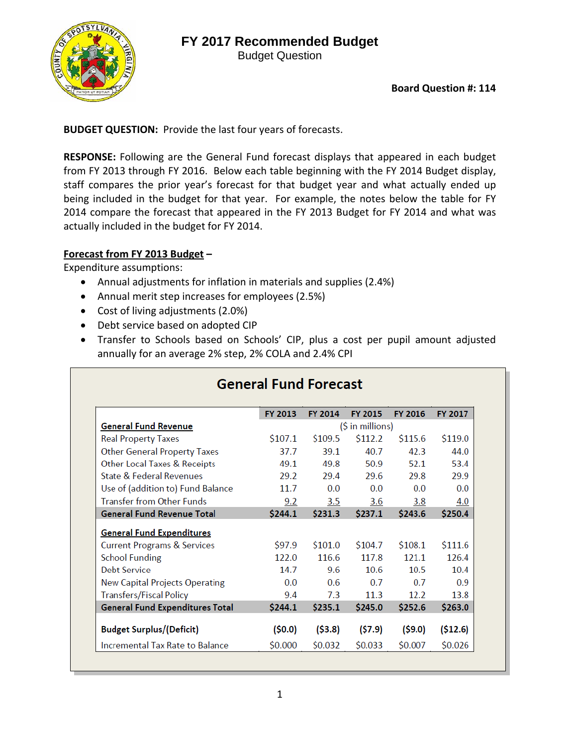#### **FY 2017 Recommended Budget**  Budget Question

**Board Question #: 114**

**BUDGET QUESTION:** Provide the last four years of forecasts.

**RESPONSE:** Following are the General Fund forecast displays that appeared in each budget from FY 2013 through FY 2016. Below each table beginning with the FY 2014 Budget display, staff compares the prior year's forecast for that budget year and what actually ended up being included in the budget for that year. For example, the notes below the table for FY 2014 compare the forecast that appeared in the FY 2013 Budget for FY 2014 and what was actually included in the budget for FY 2014.

#### **Forecast from FY 2013 Budget –**

Expenditure assumptions:

- Annual adjustments for inflation in materials and supplies (2.4%)
- Annual merit step increases for employees (2.5%)
- Cost of living adjustments (2.0%)
- Debt service based on adopted CIP
- Transfer to Schools based on Schools' CIP, plus a cost per pupil amount adjusted annually for an average 2% step, 2% COLA and 2.4% CPI

|                                        | <b>FY 2013</b> | <b>FY 2014</b>    | <b>FY 2015</b> | <b>FY 2016</b>    | FY 2017  |  |  |  |
|----------------------------------------|----------------|-------------------|----------------|-------------------|----------|--|--|--|
| <b>General Fund Revenue</b>            |                | $(5$ in millions) |                |                   |          |  |  |  |
| <b>Real Property Taxes</b>             | \$107.1        | \$109.5           | \$112.2        | \$115.6           | \$119.0  |  |  |  |
| <b>Other General Property Taxes</b>    | 37.7           | 39.1              | 40.7           | 42.3              | 44.0     |  |  |  |
| Other Local Taxes & Receipts           | 49.1           | 49.8              | 50.9           | 52.1              | 53.4     |  |  |  |
| State & Federal Revenues               | 29.2           | 29.4              | 29.6           | 29.8              | 29.9     |  |  |  |
| Use of (addition to) Fund Balance      | 11.7           | 0.0               | 0.0            | 0.0               | 0.0      |  |  |  |
| <b>Transfer from Other Funds</b>       | 9.2            | $3.5^{\circ}$     | 3.6            | 3.8               | 4.0      |  |  |  |
| <b>General Fund Revenue Total</b>      | \$244.1        | \$231.3           | \$237.1        | \$243.6           | \$250.4  |  |  |  |
| <b>General Fund Expenditures</b>       |                |                   |                |                   |          |  |  |  |
| <b>Current Programs &amp; Services</b> | \$97.9         | \$101.0           | \$104.7        | \$108.1           | \$111.6  |  |  |  |
| <b>School Funding</b>                  | 122.0          | 116.6             | 117.8          | 121.1             | 126.4    |  |  |  |
| Debt Service                           | 14.7           | 9.6               | 10.6           | 10.5              | 10.4     |  |  |  |
| <b>New Capital Projects Operating</b>  | 0.0            | 0.6               | 0.7            | 0.7               | 0.9      |  |  |  |
| <b>Transfers/Fiscal Policy</b>         | 9.4            | 7.3               | 11.3           | 12.2 <sub>5</sub> | 13.8     |  |  |  |
| <b>General Fund Expenditures Total</b> | \$244.1        | \$235.1           | \$245.0        | \$252.6           | \$263.0  |  |  |  |
| <b>Budget Surplus/(Deficit)</b>        | (\$0.0)        | ( \$3.8)          | (\$7.9)        | (59.0)            | (\$12.6) |  |  |  |
| Incremental Tax Rate to Balance        | \$0.000        | \$0.032           | \$0.033        | \$0.007           | \$0.026  |  |  |  |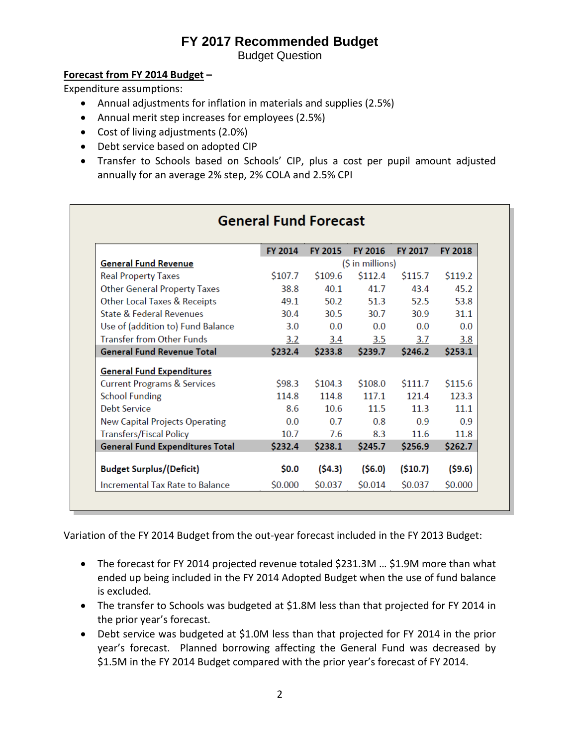Budget Question

#### **Forecast from FY 2014 Budget –**

Expenditure assumptions:

- Annual adjustments for inflation in materials and supplies (2.5%)
- Annual merit step increases for employees (2.5%)
- Cost of living adjustments (2.0%)
- Debt service based on adopted CIP
- Transfer to Schools based on Schools' CIP, plus a cost per pupil amount adjusted annually for an average 2% step, 2% COLA and 2.5% CPI

|                                         | FY 2014          | <b>FY 2015</b> | <b>FY 2016</b> | <b>FY 2017</b> | <b>FY 2018</b> |  |
|-----------------------------------------|------------------|----------------|----------------|----------------|----------------|--|
| <b>General Fund Revenue</b>             | (\$ in millions) |                |                |                |                |  |
| <b>Real Property Taxes</b>              | \$107.7          | \$109.6        | \$112.4        | \$115.7        | \$119.2        |  |
| <b>Other General Property Taxes</b>     | 38.8             | 40.1           | 41.7           | 43.4           | 45.2           |  |
| <b>Other Local Taxes &amp; Receipts</b> | 49.1             | 50.2           | 51.3           | 52.5           | 53.8           |  |
| State & Federal Revenues                | 30.4             | 30.5           | 30.7           | 30.9           | 31.1           |  |
| Use of (addition to) Fund Balance       | 3.0              | 0.0            | 0.0            | 0.0            | 0.0            |  |
| <b>Transfer from Other Funds</b>        | 3.2              | $3.4^{\circ}$  | $3.5^{\circ}$  | 3.7            | 3.8            |  |
| <b>General Fund Revenue Total</b>       | \$232.4          | \$233.8        | \$239.7        | \$246.2        | \$253.1        |  |
| <b>General Fund Expenditures</b>        |                  |                |                |                |                |  |
| <b>Current Programs &amp; Services</b>  | \$98.3           | \$104.3        | \$108.0        | \$111.7        | \$115.6        |  |
| <b>School Funding</b>                   | 114.8            | 114.8          | 117.1          | 121.4          | 123.3          |  |
| Debt Service                            | 8.6              | 10.6           | 11.5           | 11.3           | 11 1           |  |
| <b>New Capital Projects Operating</b>   | 0.0              | 0.7            | 0.8            | 0.9            | 0.9            |  |
| <b>Transfers/Fiscal Policy</b>          | 10.7             | 7.6            | 8.3            | 11.6           | 11.8           |  |
| <b>General Fund Expenditures Total</b>  | \$232.4          | \$238.1        | \$245.7        | \$256.9        | \$262.7        |  |
| <b>Budget Surplus/(Deficit)</b>         | <b>SO.O</b>      | (54.3)         | $($ \$6.0)     | ( \$10.7)      | ( \$9.6)       |  |
| Incremental Tax Rate to Balance         | \$0.000          | \$0.037        | \$0.014        | \$0.037        | \$0.000        |  |

## **General Fund Forecast**

Variation of the FY 2014 Budget from the out‐year forecast included in the FY 2013 Budget:

- The forecast for FY 2014 projected revenue totaled \$231.3M … \$1.9M more than what ended up being included in the FY 2014 Adopted Budget when the use of fund balance is excluded.
- The transfer to Schools was budgeted at \$1.8M less than that projected for FY 2014 in the prior year's forecast.
- Debt service was budgeted at \$1.0M less than that projected for FY 2014 in the prior year's forecast. Planned borrowing affecting the General Fund was decreased by \$1.5M in the FY 2014 Budget compared with the prior year's forecast of FY 2014.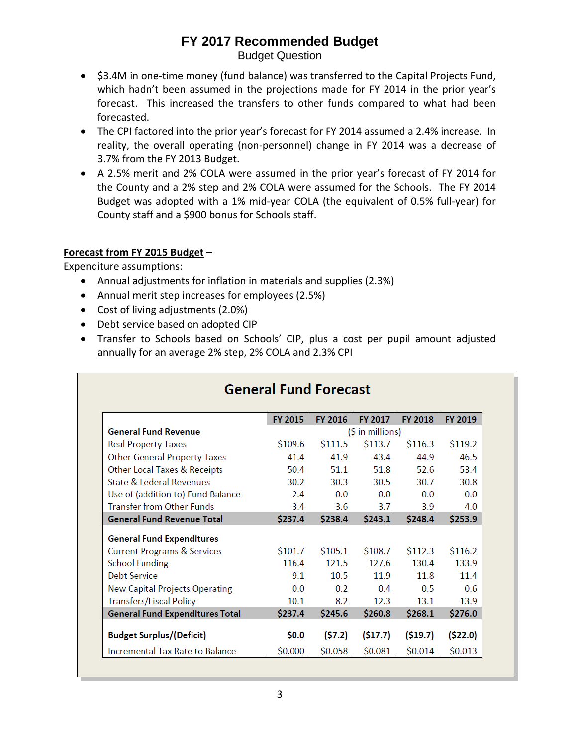Budget Question

- \$3.4M in one-time money (fund balance) was transferred to the Capital Projects Fund, which hadn't been assumed in the projections made for FY 2014 in the prior year's forecast. This increased the transfers to other funds compared to what had been forecasted.
- The CPI factored into the prior year's forecast for FY 2014 assumed a 2.4% increase. In reality, the overall operating (non‐personnel) change in FY 2014 was a decrease of 3.7% from the FY 2013 Budget.
- A 2.5% merit and 2% COLA were assumed in the prior year's forecast of FY 2014 for the County and a 2% step and 2% COLA were assumed for the Schools. The FY 2014 Budget was adopted with a 1% mid‐year COLA (the equivalent of 0.5% full‐year) for County staff and a \$900 bonus for Schools staff.

#### **Forecast from FY 2015 Budget –**

Expenditure assumptions:

- Annual adjustments for inflation in materials and supplies (2.3%)
- Annual merit step increases for employees (2.5%)
- Cost of living adjustments (2.0%)
- Debt service based on adopted CIP
- Transfer to Schools based on Schools' CIP, plus a cost per pupil amount adjusted annually for an average 2% step, 2% COLA and 2.3% CPI

|                                        | <b>FY 2015</b>    | <b>FY 2016</b> | <b>FY 2017</b> | <b>FY 2018</b>     | FY 2019   |  |  |
|----------------------------------------|-------------------|----------------|----------------|--------------------|-----------|--|--|
| <b>General Fund Revenue</b>            | $(5$ in millions) |                |                |                    |           |  |  |
| <b>Real Property Taxes</b>             | \$109.6           | \$111.5        | \$113.7        | \$116.3            | \$119.2   |  |  |
| <b>Other General Property Taxes</b>    | 41.4              | 41.9           | 43.4           | 44.9               | 46.5      |  |  |
| Other Local Taxes & Receipts           | 50.4              | 51.1           | 51.8           | 52.6               | 53.4      |  |  |
| State & Federal Revenues               | 30.2              | 30.3           | 30.5           | 30.7               | 30.8      |  |  |
| Use of (addition to) Fund Balance      | 2.4               | 0.0            | 0.0            | 0.0                | 0.0       |  |  |
| <b>Transfer from Other Funds</b>       | 3.4               | 3.6            | 3.7            | 3.9                | 4.0       |  |  |
| <b>General Fund Revenue Total</b>      | \$237.4           | \$238.4        | \$243.1        | \$248.4            | \$253.9   |  |  |
| <b>General Fund Expenditures</b>       |                   |                |                |                    |           |  |  |
| <b>Current Programs &amp; Services</b> | \$101.7           | \$105.1        | \$108.7        | \$112.3            | \$116.2   |  |  |
| <b>School Funding</b>                  | 116.4             | 121.5          | 127.6          | 130.4              | 133.9     |  |  |
| Debt Service                           | 9.1               | 10.5           | 11.9           | 11.8               | 11.4      |  |  |
| New Capital Projects Operating         | 0.0               | 0.2            | 0.4            | 0.5                | 0.6       |  |  |
| <b>Transfers/Fiscal Policy</b>         | 10.1              | 8.2            | 12.3           | 13.1               | 13.9      |  |  |
| <b>General Fund Expenditures Total</b> | \$237.4           | \$245.6        | \$260.8        | \$268.1            | \$276.0   |  |  |
| <b>Budget Surplus/(Deficit)</b>        | \$0.0             | (57.2)         | (517.7)        | (519.7)            | ( \$22.0) |  |  |
|                                        | \$0.000           | \$0.058        | \$0.081        | S <sub>0.014</sub> | \$0.013   |  |  |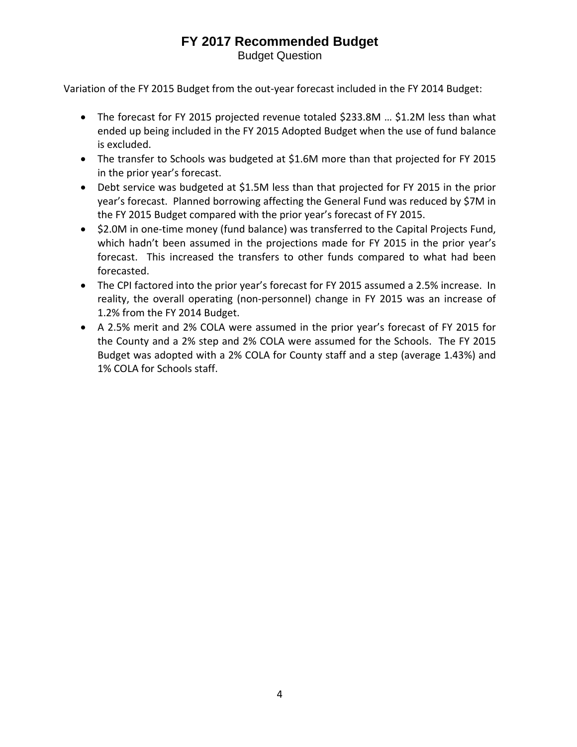Budget Question

Variation of the FY 2015 Budget from the out‐year forecast included in the FY 2014 Budget:

- The forecast for FY 2015 projected revenue totaled \$233.8M … \$1.2M less than what ended up being included in the FY 2015 Adopted Budget when the use of fund balance is excluded.
- The transfer to Schools was budgeted at \$1.6M more than that projected for FY 2015 in the prior year's forecast.
- Debt service was budgeted at \$1.5M less than that projected for FY 2015 in the prior year's forecast. Planned borrowing affecting the General Fund was reduced by \$7M in the FY 2015 Budget compared with the prior year's forecast of FY 2015.
- \$2.0M in one-time money (fund balance) was transferred to the Capital Projects Fund, which hadn't been assumed in the projections made for FY 2015 in the prior year's forecast. This increased the transfers to other funds compared to what had been forecasted.
- The CPI factored into the prior year's forecast for FY 2015 assumed a 2.5% increase. In reality, the overall operating (non‐personnel) change in FY 2015 was an increase of 1.2% from the FY 2014 Budget.
- A 2.5% merit and 2% COLA were assumed in the prior year's forecast of FY 2015 for the County and a 2% step and 2% COLA were assumed for the Schools. The FY 2015 Budget was adopted with a 2% COLA for County staff and a step (average 1.43%) and 1% COLA for Schools staff.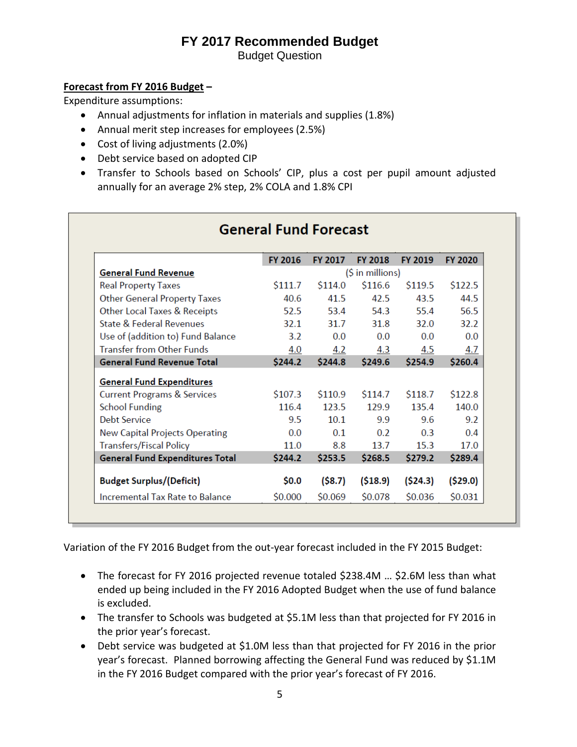Budget Question

#### **Forecast from FY 2016 Budget –**

Expenditure assumptions:

- Annual adjustments for inflation in materials and supplies (1.8%)
- Annual merit step increases for employees (2.5%)
- Cost of living adjustments (2.0%)
- Debt service based on adopted CIP
- Transfer to Schools based on Schools' CIP, plus a cost per pupil amount adjusted annually for an average 2% step, 2% COLA and 1.8% CPI

|                                        | <b>FY 2016</b>     | <b>FY 2017</b> | <b>FY 2018</b> | <b>FY 2019</b> | <b>FY 2020</b> |  |
|----------------------------------------|--------------------|----------------|----------------|----------------|----------------|--|
| <b>General Fund Revenue</b>            | (5 in millions)    |                |                |                |                |  |
| <b>Real Property Taxes</b>             | S <sub>111.7</sub> | \$114.0        | \$116.6        | \$119.5        | \$122.5        |  |
| <b>Other General Property Taxes</b>    | 40.6               | 41.5           | 42.5           | 43.5           | 44.5           |  |
| Other Local Taxes & Receipts           | 52.5               | 53.4           | 54.3           | 55.4           | 56.5           |  |
| State & Federal Revenues               | 32.1               | 31.7           | 31.8           | 32.O           | 32.2           |  |
| Use of (addition to) Fund Balance      | 3.2                | 0.0            | 0.0            | 0.0            | 0.0            |  |
| <b>Transfer from Other Funds</b>       | 4.0                | 4.2            | 4.3            | 4.5            | 4.7            |  |
| <b>General Fund Revenue Total</b>      | \$244.2            | \$244.8        | \$249.6        | \$254.9        | \$260.4        |  |
| <b>General Fund Expenditures</b>       |                    |                |                |                |                |  |
| <b>Current Programs &amp; Services</b> | \$107.3            | \$110.9        | \$114.7        | \$118.7        | \$122.8        |  |
| <b>School Funding</b>                  | 116.4              | 123.5          | 129.9          | 135.4          | 140.0          |  |
| Debt Service                           | 9.5                | 10.1           | 9.9            | 96             | 9.2            |  |
| <b>New Capital Projects Operating</b>  | 0.0                | 0 <sub>1</sub> | 02             | 03             | 04             |  |
| <b>Transfers/Fiscal Policy</b>         | 11.0               | 8.8            | 13.7           | 15.3           | 17.0           |  |
| <b>General Fund Expenditures Total</b> | \$244.2            | \$253.5        | \$268.5        | \$279.2        | \$289.4        |  |
| <b>Budget Surplus/(Deficit)</b>        | \$0.0\$            | (58.7)         | ( \$18.9)      | (524.3)        | (\$29.0)       |  |
| Incremental Tax Rate to Balance        | \$0.000            | \$0.069        | \$0.078        | \$0.036        | \$0.031        |  |

# **General Fund Forecast**

Variation of the FY 2016 Budget from the out‐year forecast included in the FY 2015 Budget:

- The forecast for FY 2016 projected revenue totaled \$238.4M … \$2.6M less than what ended up being included in the FY 2016 Adopted Budget when the use of fund balance is excluded.
- The transfer to Schools was budgeted at \$5.1M less than that projected for FY 2016 in the prior year's forecast.
- Debt service was budgeted at \$1.0M less than that projected for FY 2016 in the prior year's forecast. Planned borrowing affecting the General Fund was reduced by \$1.1M in the FY 2016 Budget compared with the prior year's forecast of FY 2016.